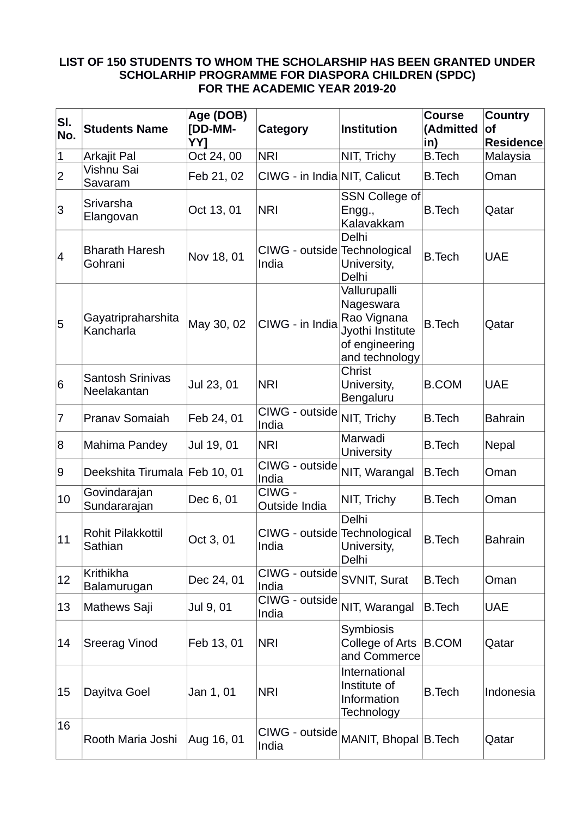## **LIST OF 150 STUDENTS TO WHOM THE SCHOLARSHIP HAS BEEN GRANTED UNDER SCHOLARHIP PROGRAMME FOR DIASPORA CHILDREN (SPDC) FOR THE ACADEMIC YEAR 2019-20**

| SI.<br>No.     | <b>Students Name</b>                   | Age (DOB)<br>[DD-MM-<br>YY1 | Category                              | <b>Institution</b>                                                                               | <b>Course</b><br>(Admitted<br>in) | <b>Country</b><br><b>of</b><br><b>Residence</b> |
|----------------|----------------------------------------|-----------------------------|---------------------------------------|--------------------------------------------------------------------------------------------------|-----------------------------------|-------------------------------------------------|
| $\vert$ 1      | Arkajit Pal                            | Oct 24, 00                  | <b>NRI</b>                            | NIT, Trichy                                                                                      | <b>B.Tech</b>                     | Malaysia                                        |
| 2              | Vishnu Sai<br>Savaram                  | Feb 21, 02                  | CIWG - in India NIT, Calicut          |                                                                                                  | <b>B.Tech</b>                     | Oman                                            |
| 3              | Srivarsha<br>Elangovan                 | Oct 13, 01                  | <b>NRI</b>                            | <b>SSN College of</b><br>Engg.,<br>Kalavakkam                                                    | <b>B.Tech</b>                     | Qatar                                           |
| 4              | <b>Bharath Haresh</b><br>Gohrani       | Nov 18, 01                  | CIWG - outside Technological<br>India | Delhi<br>University,<br>Delhi                                                                    | <b>B.Tech</b>                     | <b>UAE</b>                                      |
| 5              | Gayatripraharshita<br>Kancharla        | May 30, 02                  | CIWG - in India                       | Vallurupalli<br>Nageswara<br>Rao Vignana<br>Jyothi Institute<br>of engineering<br>and technology | <b>B.Tech</b>                     | Qatar                                           |
| 6              | <b>Santosh Srinivas</b><br>Neelakantan | Jul 23, 01                  | <b>NRI</b>                            | Christ<br>University,<br>Bengaluru                                                               | <b>B.COM</b>                      | <b>UAE</b>                                      |
| $\overline{7}$ | Pranav Somaiah                         | Feb 24, 01                  | CIWG - outside<br>India               | NIT, Trichy                                                                                      | <b>B.Tech</b>                     | <b>Bahrain</b>                                  |
| 8              | Mahima Pandey                          | Jul 19, 01                  | <b>NRI</b>                            | Marwadi<br><b>University</b>                                                                     | <b>B.Tech</b>                     | Nepal                                           |
| 9              | Deekshita Tirumala Feb 10, 01          |                             | CIWG - outside<br>India               | NIT, Warangal                                                                                    | <b>B.Tech</b>                     | Oman                                            |
| 10             | Govindarajan<br>Sundararajan           | Dec 6, 01                   | CIWG -<br>Outside India               | NIT, Trichy                                                                                      | <b>B.Tech</b>                     | Oman                                            |
| 11             | <b>Rohit Pilakkottil</b><br>Sathian    | Oct 3, 01                   | CIWG - outside Technological<br>India | Delhi<br>University,<br>Delhi                                                                    | <b>B.Tech</b>                     | <b>Bahrain</b>                                  |
| 12             | Krithikha<br>Balamurugan               | Dec 24, 01                  | CIWG - outside<br>India               | SVNIT, Surat                                                                                     | <b>B.Tech</b>                     | Oman                                            |
| 13             | Mathews Saji                           | Jul 9, 01                   | CIWG - outside<br>India               | NIT, Warangal                                                                                    | <b>B.Tech</b>                     | <b>UAE</b>                                      |
| 14             | <b>Sreerag Vinod</b>                   | Feb 13, 01                  | <b>NRI</b>                            | <b>Symbiosis</b><br>College of Arts<br>and Commerce                                              | B.COM                             | Qatar                                           |
| 15             | Dayitva Goel                           | Jan 1, 01                   | <b>NRI</b>                            | International<br>Institute of<br>Information<br>Technology                                       | <b>B.Tech</b>                     | Indonesia                                       |
| 16             | Rooth Maria Joshi                      | Aug 16, 01                  | CIWG - outside<br>India               | MANIT, Bhopal B. Tech                                                                            |                                   | Qatar                                           |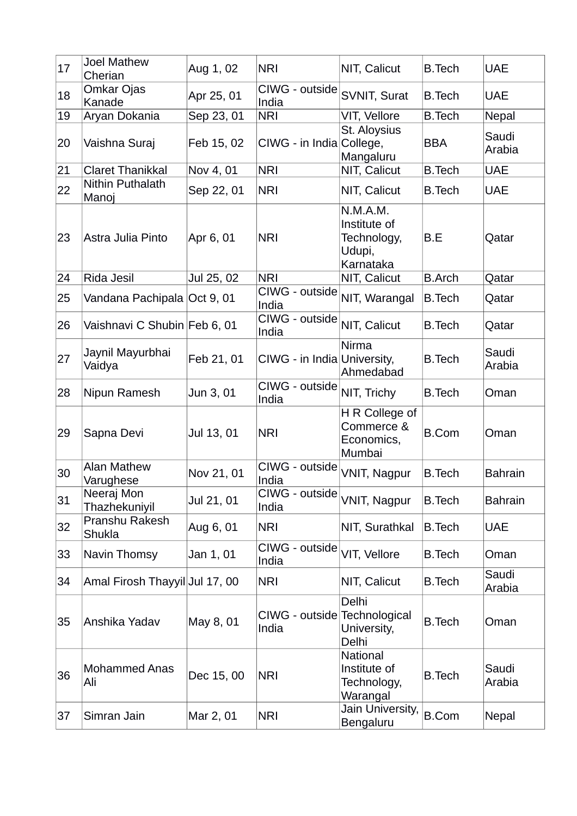| 17 | <b>Joel Mathew</b><br>Cherian   | Aug 1, 02  | <b>NRI</b>                            | NIT, Calicut                                                   | <b>B.Tech</b> | <b>UAE</b>      |
|----|---------------------------------|------------|---------------------------------------|----------------------------------------------------------------|---------------|-----------------|
| 18 | Omkar Ojas<br>Kanade            | Apr 25, 01 | CIWG - outside<br>India               | SVNIT, Surat                                                   | <b>B.Tech</b> | <b>UAE</b>      |
| 19 | Aryan Dokania                   | Sep 23, 01 | <b>NRI</b>                            | VIT, Vellore                                                   | <b>B.Tech</b> | Nepal           |
| 20 | Vaishna Suraj                   | Feb 15, 02 | CIWG - in India College,              | St. Aloysius<br>Mangaluru                                      | BBA           | Saudi<br>Arabia |
| 21 | <b>Claret Thanikkal</b>         | Nov 4, 01  | <b>NRI</b>                            | NIT, Calicut                                                   | <b>B.Tech</b> | <b>UAE</b>      |
| 22 | Nithin Puthalath<br>Manoj       | Sep 22, 01 | <b>NRI</b>                            | NIT, Calicut                                                   | <b>B.Tech</b> | <b>UAE</b>      |
| 23 | Astra Julia Pinto               | Apr 6, 01  | <b>NRI</b>                            | N.M.A.M.<br>Institute of<br>Technology,<br>Udupi,<br>Karnataka | B.E           | Qatar           |
| 24 | Rida Jesil                      | Jul 25, 02 | <b>NRI</b>                            | NIT, Calicut                                                   | <b>B.Arch</b> | Qatar           |
| 25 | Vandana Pachipala Oct 9, 01     |            | CIWG - outside<br>India               | NIT, Warangal                                                  | <b>B.Tech</b> | Qatar           |
| 26 | Vaishnavi C Shubin Feb 6, 01    |            | CIWG - outside<br>India               | NIT, Calicut                                                   | <b>B.Tech</b> | Qatar           |
| 27 | Jaynil Mayurbhai<br>Vaidya      | Feb 21, 01 | CIWG - in India University,           | <b>Nirma</b><br>Ahmedabad                                      | <b>B.Tech</b> | Saudi<br>Arabia |
| 28 | Nipun Ramesh                    | Jun 3, 01  | CIWG - outside<br>India               | NIT, Trichy                                                    | <b>B.Tech</b> | Oman            |
| 29 | Sapna Devi                      | Jul 13, 01 | <b>NRI</b>                            | H R College of<br>Commerce &<br>Economics,<br>Mumbai           | <b>B.Com</b>  | Oman            |
| 30 | <b>Alan Mathew</b><br>Varughese | Nov 21, 01 | CIWG - outside<br>India               | VNIT, Nagpur                                                   | <b>B.Tech</b> | <b>Bahrain</b>  |
| 31 | Neeraj Mon<br>Thazhekuniyil     | Jul 21, 01 | CIWG - outside<br>India               | <b>VNIT, Nagpur</b>                                            | <b>B.Tech</b> | <b>Bahrain</b>  |
| 32 | Pranshu Rakesh<br><b>Shukla</b> | Aug 6, 01  | <b>NRI</b>                            | NIT, Surathkal                                                 | B.Tech        | <b>UAE</b>      |
| 33 | Navin Thomsy                    | Jan 1, 01  | CIWG - outside<br>India               | VIT, Vellore                                                   | <b>B.Tech</b> | Oman            |
| 34 | Amal Firosh Thayyil Jul 17, 00  |            | <b>NRI</b>                            | NIT, Calicut                                                   | <b>B.Tech</b> | Saudi<br>Arabia |
| 35 | Anshika Yadav                   | May 8, 01  | CIWG - outside Technological<br>India | Delhi<br>University,<br>Delhi                                  | <b>B.Tech</b> | Oman            |
| 36 | <b>Mohammed Anas</b><br>Ali     | Dec 15, 00 | <b>NRI</b>                            | <b>National</b><br>Institute of<br>Technology,<br>Warangal     | <b>B.Tech</b> | Saudi<br>Arabia |
| 37 | Simran Jain                     | Mar 2, 01  | <b>NRI</b>                            | Jain University,<br>Bengaluru                                  | <b>B.Com</b>  | Nepal           |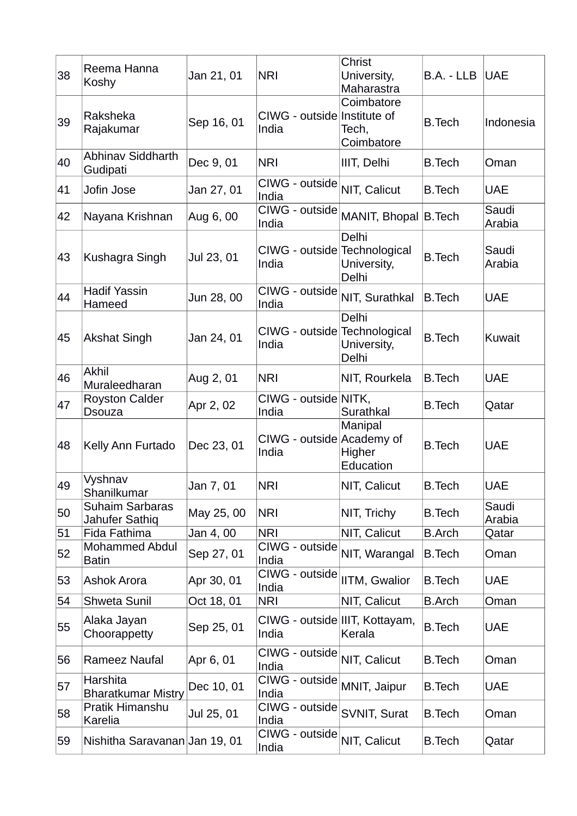| 38 | Reema Hanna<br>Koshy                     | Jan 21, 01 | <b>NRI</b>                              | Christ<br>University,<br>Maharastra | B.A. - LLB    | <b>UAE</b>      |
|----|------------------------------------------|------------|-----------------------------------------|-------------------------------------|---------------|-----------------|
| 39 | Raksheka<br>Rajakumar                    | Sep 16, 01 | CIWG - outside Institute of<br>India    | Coimbatore<br>Tech,<br>Coimbatore   | <b>B.Tech</b> | Indonesia       |
| 40 | <b>Abhinav Siddharth</b><br>Gudipati     | Dec 9, 01  | <b>NRI</b>                              | IIIT, Delhi                         | <b>B.Tech</b> | Oman            |
| 41 | Jofin Jose                               | Jan 27, 01 | CIWG - outside<br>India                 | NIT, Calicut                        | <b>B.Tech</b> | <b>UAE</b>      |
| 42 | Nayana Krishnan                          | Aug 6, 00  | CIWG - outside<br>India                 | MANIT, Bhopal B.Tech                |               | Saudi<br>Arabia |
| 43 | Kushagra Singh                           | Jul 23, 01 | CIWG - outside Technological<br>India   | Delhi<br>University,<br>Delhi       | <b>B.Tech</b> | Saudi<br>Arabia |
| 44 | <b>Hadif Yassin</b><br>Hameed            | Jun 28, 00 | CIWG - outside<br>India                 | NIT, Surathkal                      | <b>B.Tech</b> | <b>UAE</b>      |
| 45 | <b>Akshat Singh</b>                      | Jan 24, 01 | CIWG - outside Technological<br>India   | Delhi<br>University,<br>Delhi       | <b>B.Tech</b> | Kuwait          |
| 46 | <b>Akhil</b><br>Muraleedharan            | Aug 2, 01  | <b>NRI</b>                              | NIT, Rourkela                       | <b>B.Tech</b> | <b>UAE</b>      |
| 47 | <b>Royston Calder</b><br><b>Dsouza</b>   | Apr 2, 02  | CIWG - outside NITK,<br>India           | Surathkal                           | <b>B.Tech</b> | Qatar           |
| 48 | Kelly Ann Furtado                        | Dec 23, 01 | CIWG - outside Academy of<br>India      | Manipal<br>Higher<br>Education      | <b>B.Tech</b> | <b>UAE</b>      |
| 49 | Vyshnav<br>Shanilkumar                   | Jan 7, 01  | <b>NRI</b>                              | NIT, Calicut                        | <b>B.Tech</b> | <b>UAE</b>      |
| 50 | <b>Suhaim Sarbaras</b><br>Jahufer Sathiq | May 25, 00 | <b>NRI</b>                              | NIT, Trichy                         | <b>B.Tech</b> | Saudi<br>Arabia |
| 51 | Fida Fathima                             | Jan 4,00   | <b>NRI</b>                              | NIT, Calicut                        | <b>B.Arch</b> | Qatar           |
| 52 | <b>Mohammed Abdul</b><br><b>Batin</b>    | Sep 27, 01 | CIWG - outside<br>India                 | NIT, Warangal                       | <b>B.Tech</b> | Oman            |
| 53 | Ashok Arora                              | Apr 30, 01 | CIWG - outside<br>India                 | IITM, Gwalior                       | <b>B.Tech</b> | <b>UAE</b>      |
| 54 | Shweta Sunil                             | Oct 18, 01 | <b>NRI</b>                              | NIT, Calicut                        | <b>B.Arch</b> | Oman            |
| 55 | Alaka Jayan<br>Choorappetty              | Sep 25, 01 | CIWG - outside IIIT, Kottayam,<br>India | Kerala                              | <b>B.Tech</b> | <b>UAE</b>      |
| 56 | Rameez Naufal                            | Apr 6, 01  | CIWG - outside<br>India                 | NIT, Calicut                        | <b>B.Tech</b> | Oman            |
| 57 | Harshita<br><b>Bharatkumar Mistry</b>    | Dec 10, 01 | CIWG - outside<br>India                 | MNIT, Jaipur                        | <b>B.Tech</b> | <b>UAE</b>      |
| 58 | Pratik Himanshu<br>Karelia               | Jul 25, 01 | CIWG - outside<br>India                 | SVNIT, Surat                        | <b>B.Tech</b> | Oman            |
| 59 | Nishitha Saravanan Jan 19, 01            |            | CIWG - outside<br>India                 | NIT, Calicut                        | <b>B.Tech</b> | Qatar           |
|    |                                          |            |                                         |                                     |               |                 |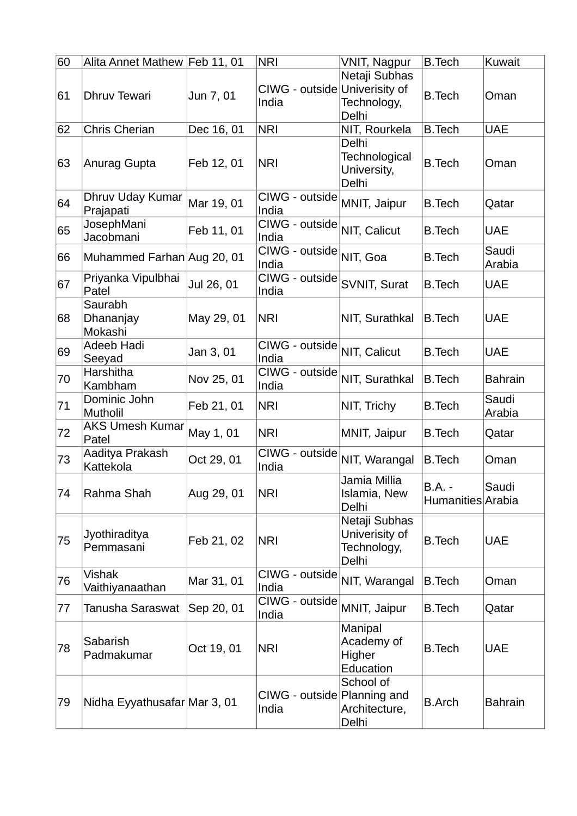| 60 | Alita Annet Mathew Feb 11, 01   |            | <b>NRI</b>                             | <b>VNIT, Nagpur</b>                                     | <b>B.Tech</b>               | Kuwait          |
|----|---------------------------------|------------|----------------------------------------|---------------------------------------------------------|-----------------------------|-----------------|
| 61 | Dhruv Tewari                    | Jun 7, 01  | CIWG - outside Univerisity of<br>India | Netaji Subhas<br>Technology,<br>Delhi                   | <b>B.Tech</b>               | Oman            |
| 62 | Chris Cherian                   | Dec 16, 01 | <b>NRI</b>                             | NIT, Rourkela                                           | <b>B.Tech</b>               | <b>UAE</b>      |
| 63 | Anurag Gupta                    | Feb 12, 01 | <b>NRI</b>                             | Delhi<br>Technological<br>University,<br>Delhi          | <b>B.Tech</b>               | Oman            |
| 64 | Dhruv Uday Kumar<br>Prajapati   | Mar 19, 01 | CIWG - outside<br>India                | MNIT, Jaipur                                            | <b>B.Tech</b>               | Qatar           |
| 65 | JosephMani<br>Jacobmani         | Feb 11, 01 | CIWG - outside<br>India                | NIT, Calicut                                            | <b>B.Tech</b>               | <b>UAE</b>      |
| 66 | Muhammed Farhan Aug 20, 01      |            | CIWG - outside<br>India                | NIT, Goa                                                | <b>B.Tech</b>               | Saudi<br>Arabia |
| 67 | Priyanka Vipulbhai<br>Patel     | Jul 26, 01 | CIWG - outside<br>India                | SVNIT, Surat                                            | <b>B.Tech</b>               | <b>UAE</b>      |
| 68 | Saurabh<br>Dhananjay<br>Mokashi | May 29, 01 | <b>NRI</b>                             | NIT, Surathkal                                          | <b>B.Tech</b>               | <b>UAE</b>      |
| 69 | Adeeb Hadi<br>Seeyad            | Jan 3, 01  | CIWG - outside<br>India                | NIT, Calicut                                            | <b>B.Tech</b>               | <b>UAE</b>      |
| 70 | Harshitha<br>Kambham            | Nov 25, 01 | CIWG - outside<br>India                | NIT, Surathkal                                          | <b>B.Tech</b>               | <b>Bahrain</b>  |
| 71 | Dominic John<br>Mutholil        | Feb 21, 01 | <b>NRI</b>                             | NIT, Trichy                                             | <b>B.Tech</b>               | Saudi<br>Arabia |
| 72 | <b>AKS Umesh Kumar</b><br>Patel | May 1, 01  | <b>NRI</b>                             | MNIT, Jaipur                                            | <b>B.Tech</b>               | Qatar           |
| 73 | Aaditya Prakash<br>Kattekola    | Oct 29, 01 | CIWG - outside<br>India                | NIT, Warangal                                           | <b>B.Tech</b>               | Oman            |
| 74 | Rahma Shah                      | Aug 29, 01 | <b>NRI</b>                             | Jamia Millia<br>Islamia, New<br>Delhi                   | B.A. -<br>Humanities Arabia | Saudi           |
| 75 | Jyothiraditya<br>Pemmasani      | Feb 21, 02 | <b>NRI</b>                             | Netaji Subhas<br>Univerisity of<br>Technology,<br>Delhi | <b>B.Tech</b>               | <b>UAE</b>      |
| 76 | Vishak<br>Vaithiyanaathan       | Mar 31, 01 | CIWG - outside<br>India                | NIT, Warangal                                           | B.Tech                      | Oman            |
| 77 | Tanusha Saraswat                | Sep 20, 01 | CIWG - outside<br>India                | MNIT, Jaipur                                            | <b>B.Tech</b>               | Qatar           |
| 78 | Sabarish<br>Padmakumar          | Oct 19, 01 | <b>NRI</b>                             | Manipal<br>Academy of<br>Higher<br>Education            | <b>B.Tech</b>               | <b>UAE</b>      |
| 79 | Nidha Eyyathusafar Mar 3, 01    |            | CIWG - outside Planning and<br>India   | School of<br>Architecture,<br>Delhi                     | <b>B.Arch</b>               | <b>Bahrain</b>  |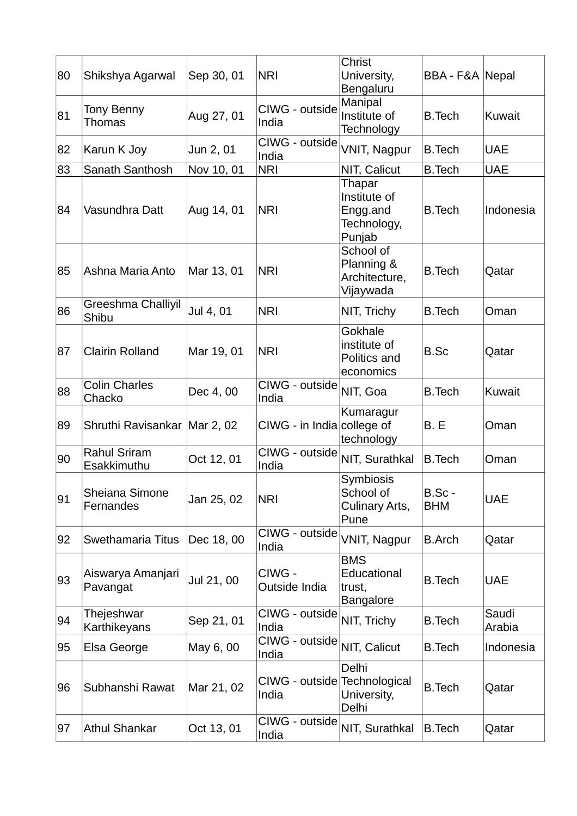| 80 | Shikshya Agarwal                          | Sep 30, 01 | <b>NRI</b>                            | Christ<br>University,<br>Bengaluru                          | BBA - F&A Nepal      |                 |
|----|-------------------------------------------|------------|---------------------------------------|-------------------------------------------------------------|----------------------|-----------------|
| 81 | <b>Tony Benny</b><br>Thomas               | Aug 27, 01 | CIWG - outside<br>India               | Manipal<br>Institute of<br>Technology                       | <b>B.Tech</b>        | Kuwait          |
| 82 | Karun K Joy                               | Jun 2, 01  | CIWG - outside<br>India               | VNIT, Nagpur                                                | <b>B.Tech</b>        | <b>UAE</b>      |
| 83 | Sanath Santhosh                           | Nov 10, 01 | <b>NRI</b>                            | NIT, Calicut                                                | <b>B.Tech</b>        | <b>UAE</b>      |
| 84 | Vasundhra Datt                            | Aug 14, 01 | <b>NRI</b>                            | Thapar<br>Institute of<br>Engg.and<br>Technology,<br>Punjab | <b>B.Tech</b>        | Indonesia       |
| 85 | Ashna Maria Anto                          | Mar 13, 01 | <b>NRI</b>                            | School of<br>Planning &<br>Architecture,<br>Vijaywada       | <b>B.Tech</b>        | Qatar           |
| 86 | Greeshma Challiyil<br>Shibu               | Jul 4, 01  | <b>NRI</b>                            | NIT, Trichy                                                 | <b>B.Tech</b>        | Oman            |
| 87 | <b>Clairin Rolland</b>                    | Mar 19, 01 | <b>NRI</b>                            | Gokhale<br>institute of<br>Politics and<br>economics        | <b>B.Sc</b>          | Qatar           |
| 88 | <b>Colin Charles</b><br>Chacko            | Dec 4, 00  | CIWG - outside<br>India               | NIT, Goa                                                    | <b>B.Tech</b>        | Kuwait          |
| 89 | Shruthi Ravisankar   Mar 2, 02            |            | $CIVG - in India$ college of          | Kumaragur<br>technology                                     | B. E                 | Oman            |
| 90 | <b>Rahul Sriram</b><br><b>Esakkimuthu</b> | Oct 12, 01 | CIWG - outside<br>India               | NIT, Surathkal                                              | <b>B.Tech</b>        | Oman            |
| 91 | Sheiana Simone<br>Fernandes               | Jan 25, 02 | <b>NRI</b>                            | Symbiosis<br>School of<br>Culinary Arts,<br>Pune            | B.Sc -<br><b>BHM</b> | <b>UAE</b>      |
| 92 | Swethamaria Titus                         | Dec 18, 00 | CIWG - outside<br>India               | VNIT, Nagpur                                                | <b>B.Arch</b>        | Qatar           |
| 93 | Aiswarya Amanjari<br>Pavangat             | Jul 21, 00 | CIWG -<br>Outside India               | <b>BMS</b><br>Educational<br>trust,<br><b>Bangalore</b>     | <b>B.Tech</b>        | <b>UAE</b>      |
| 94 | Thejeshwar<br>Karthikeyans                | Sep 21, 01 | CIWG - outside<br>India               | NIT, Trichy                                                 | <b>B.Tech</b>        | Saudi<br>Arabia |
| 95 | Elsa George                               | May 6, 00  | CIWG - outside<br>India               | NIT, Calicut                                                | <b>B.Tech</b>        | Indonesia       |
| 96 | Subhanshi Rawat                           | Mar 21, 02 | CIWG - outside Technological<br>India | Delhi<br>University,<br>Delhi                               | <b>B.Tech</b>        | Qatar           |
| 97 | <b>Athul Shankar</b>                      | Oct 13, 01 | CIWG - outside<br>India               | NIT, Surathkal                                              | B.Tech               | Qatar           |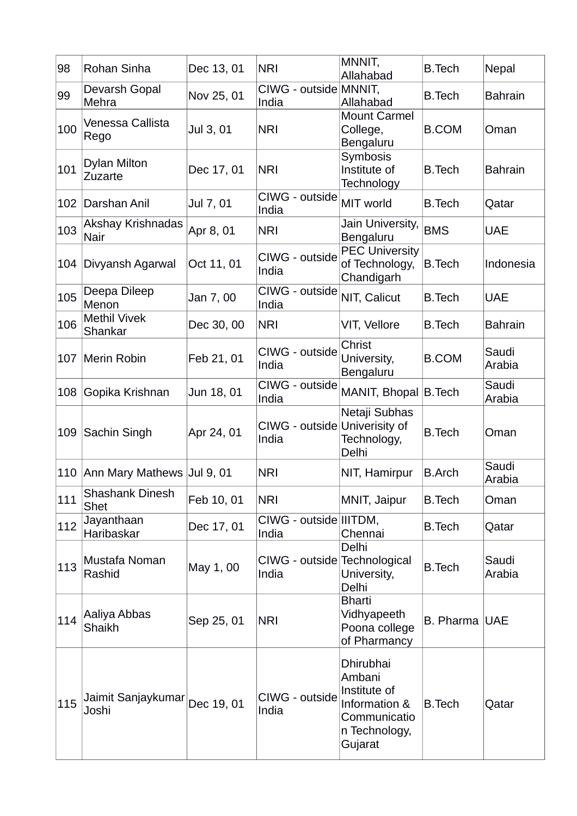| 98  | Rohan Sinha                           | Dec 13, 01 | <b>NRI</b>                             | MNNIT,<br>Allahabad                                                                              | <b>B.Tech</b> | Nepal           |
|-----|---------------------------------------|------------|----------------------------------------|--------------------------------------------------------------------------------------------------|---------------|-----------------|
| 99  | Devarsh Gopal<br>Mehra                | Nov 25, 01 | CIWG - outside MNNIT,<br>India         | Allahabad                                                                                        | <b>B.Tech</b> | <b>Bahrain</b>  |
| 100 | Venessa Callista<br>Rego              | Jul 3, 01  | <b>NRI</b>                             | <b>Mount Carmel</b><br>College,<br>Bengaluru                                                     | <b>B.COM</b>  | Oman            |
| 101 | <b>Dylan Milton</b><br>Zuzarte        | Dec 17, 01 | <b>NRI</b>                             | Symbosis<br>Institute of<br>Technology                                                           | <b>B.Tech</b> | <b>Bahrain</b>  |
| 102 | Darshan Anil                          | Jul 7, 01  | CIWG - outside<br>India                | MIT world                                                                                        | <b>B.Tech</b> | Qatar           |
| 103 | Akshay Krishnadas<br>Nair             | Apr 8, 01  | <b>NRI</b>                             | Jain University,<br>Bengaluru                                                                    | <b>BMS</b>    | <b>UAE</b>      |
| 104 | Divyansh Agarwal                      | Oct 11, 01 | CIWG - outside<br>India                | <b>PEC University</b><br>of Technology,<br>Chandigarh                                            | <b>B.Tech</b> | Indonesia       |
| 105 | Deepa Dileep<br>Menon                 | Jan 7,00   | CIWG - outside<br>India                | NIT, Calicut                                                                                     | <b>B.Tech</b> | <b>UAE</b>      |
| 106 | <b>Methil Vivek</b><br>Shankar        | Dec 30, 00 | <b>NRI</b>                             | VIT, Vellore                                                                                     | <b>B.Tech</b> | <b>Bahrain</b>  |
| 107 | Merin Robin                           | Feb 21, 01 | CIWG - outside<br>India                | Christ<br>University,<br>Bengaluru                                                               | <b>B.COM</b>  | Saudi<br>Arabia |
| 108 | Gopika Krishnan                       | Jun 18, 01 | CIWG - outside<br>India                | MANIT, Bhopal B.Tech                                                                             |               | Saudi<br>Arabia |
| 109 | Sachin Singh                          | Apr 24, 01 | CIWG - outside Univerisity of<br>India | Netaji Subhas<br>Technology,<br>Delhi                                                            | <b>B.Tech</b> | Oman            |
|     | 110 Ann Mary Mathews Jul 9, 01        |            | <b>NRI</b>                             | NIT, Hamirpur                                                                                    | <b>B.Arch</b> | Saudi<br>Arabia |
| 111 | <b>Shashank Dinesh</b><br><b>Shet</b> | Feb 10, 01 | <b>NRI</b>                             | MNIT, Jaipur                                                                                     | <b>B.Tech</b> | Oman            |
| 112 | Jayanthaan<br>Haribaskar              | Dec 17, 01 | CIWG - outside IIITDM,<br>India        | Chennai                                                                                          | <b>B.Tech</b> | Qatar           |
| 113 | Mustafa Noman<br>Rashid               | May 1, 00  | CIWG - outside Technological<br>India  | Delhi<br>University,<br>Delhi                                                                    | <b>B.Tech</b> | Saudi<br>Arabia |
| 114 | Aaliya Abbas<br><b>Shaikh</b>         | Sep 25, 01 | <b>NRI</b>                             | <b>Bharti</b><br>Vidhyapeeth<br>Poona college<br>of Pharmancy                                    | B. Pharma UAE |                 |
| 115 | Jaimit Sanjaykumar<br>Joshi           | Dec 19, 01 | CIWG - outside<br>India                | Dhirubhai<br>Ambani<br>Institute of<br>Information &<br>Communicatio<br>n Technology,<br>Gujarat | <b>B.Tech</b> | Qatar           |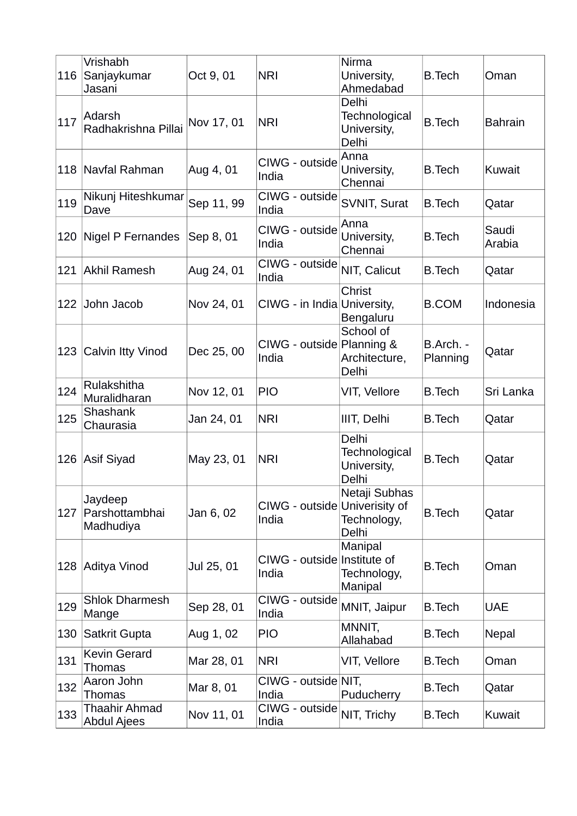| 116 | Vrishabh<br> Sanjaykumar<br>Jasani         | Oct 9, 01  | <b>NRI</b>                             | Nirma<br>University,<br>Ahmedabad                     | B.Tech                | Oman            |
|-----|--------------------------------------------|------------|----------------------------------------|-------------------------------------------------------|-----------------------|-----------------|
| 117 | Adarsh<br>Radhakrishna Pillai              | Nov 17, 01 | <b>NRI</b>                             | Delhi<br>Technological<br>University,<br>Delhi        | <b>B.Tech</b>         | <b>Bahrain</b>  |
|     | 118 Navfal Rahman                          | Aug 4, 01  | CIWG - outside<br>India                | Anna<br>University,<br>Chennai                        | <b>B.Tech</b>         | Kuwait          |
| 119 | Nikunj Hiteshkumar<br>Dave                 | Sep 11, 99 | CIWG - outside<br>India                | SVNIT, Surat                                          | <b>B.Tech</b>         | Qatar           |
|     | 120   Nigel P Fernandes                    | Sep 8, 01  | CIWG - outside<br>India                | Anna<br>University,<br>Chennai                        | <b>B.Tech</b>         | Saudi<br>Arabia |
|     | 121 Akhil Ramesh                           | Aug 24, 01 | CIWG - outside<br>India                | NIT, Calicut                                          | <b>B.Tech</b>         | Qatar           |
| 122 | John Jacob                                 | Nov 24, 01 | CIWG - in India University,            | Christ<br>Bengaluru                                   | <b>B.COM</b>          | Indonesia       |
| 123 | Calvin Itty Vinod                          | Dec 25, 00 | CIWG - outside Planning &<br>India     | School of<br>Architecture,<br>Delhi                   | B.Arch. -<br>Planning | Qatar           |
| 124 | Rulakshitha<br>Muralidharan                | Nov 12, 01 | <b>PIO</b>                             | VIT, Vellore                                          | <b>B.Tech</b>         | Sri Lanka       |
| 125 | Shashank<br>Chaurasia                      | Jan 24, 01 | <b>NRI</b>                             | IIIT, Delhi                                           | <b>B.Tech</b>         | Qatar           |
|     | 126 Asif Siyad                             | May 23, 01 | <b>NRI</b>                             | <b>Delhi</b><br>Technological<br>University,<br>Delhi | <b>B.Tech</b>         | Qatar           |
| 127 | Jaydeep<br>Parshottambhai<br>Madhudiya     | Jan 6, 02  | CIWG - outside Univerisity of<br>India | Netaji Subhas<br>Technology,<br>Delhi                 | <b>B.Tech</b>         | Qatar           |
|     | 128 Aditya Vinod                           | Jul 25, 01 | CIWG - outside<br>India                | Manipal<br>Institute of<br>Technology,<br>Manipal     | <b>B.Tech</b>         | Oman            |
| 129 | <b>Shlok Dharmesh</b><br>Mange             | Sep 28, 01 | CIWG - outside<br>India                | MNIT, Jaipur                                          | <b>B.Tech</b>         | <b>UAE</b>      |
| 130 | Satkrit Gupta                              | Aug 1, 02  | <b>PIO</b>                             | MNNIT,<br>Allahabad                                   | <b>B.Tech</b>         | Nepal           |
| 131 | <b>Kevin Gerard</b><br>Thomas              | Mar 28, 01 | <b>NRI</b>                             | VIT, Vellore                                          | <b>B.Tech</b>         | Oman            |
| 132 | Aaron John<br>Thomas                       | Mar 8, 01  | CIWG - outside NIT,<br>India           | Puducherry                                            | <b>B.Tech</b>         | Qatar           |
| 133 | <b>Thaahir Ahmad</b><br><b>Abdul Ajees</b> | Nov 11, 01 | CIWG - outside<br>India                | NIT, Trichy                                           | <b>B.Tech</b>         | Kuwait          |